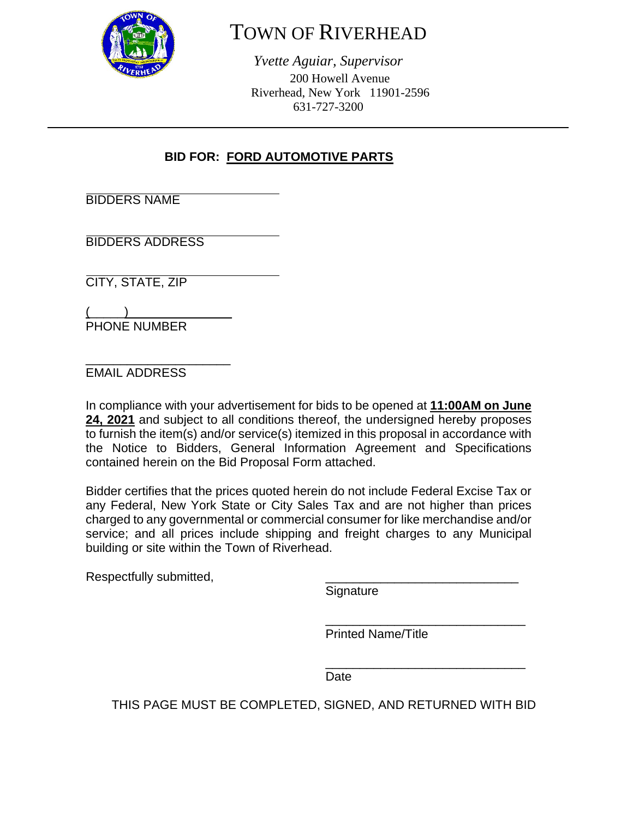

# TOWN OF RIVERHEAD

*Yvette Aguiar, Supervisor*  200 Howell Avenue Riverhead, New York 11901-2596 631-727-3200

## **BID FOR: FORD AUTOMOTIVE PARTS**

BIDDERS NAME

BIDDERS ADDRESS

CITY, STATE, ZIP

 $\frac{1}{2}$  and  $\frac{1}{2}$  and  $\frac{1}{2}$  and  $\frac{1}{2}$  and  $\frac{1}{2}$  and  $\frac{1}{2}$  and  $\frac{1}{2}$  and  $\frac{1}{2}$  and  $\frac{1}{2}$  and  $\frac{1}{2}$  and  $\frac{1}{2}$  and  $\frac{1}{2}$  and  $\frac{1}{2}$  and  $\frac{1}{2}$  and  $\frac{1}{2}$  and  $\frac{1}{2}$  a PHONE NUMBER

\_\_\_\_\_\_\_\_\_\_\_\_\_\_\_\_\_\_\_\_\_ EMAIL ADDRESS

In compliance with your advertisement for bids to be opened at **11:00AM on June 24, 2021** and subject to all conditions thereof, the undersigned hereby proposes to furnish the item(s) and/or service(s) itemized in this proposal in accordance with the Notice to Bidders, General Information Agreement and Specifications contained herein on the Bid Proposal Form attached.

Bidder certifies that the prices quoted herein do not include Federal Excise Tax or any Federal, New York State or City Sales Tax and are not higher than prices charged to any governmental or commercial consumer for like merchandise and/or service; and all prices include shipping and freight charges to any Municipal building or site within the Town of Riverhead.

 $\overline{\phantom{a}}$  , and the contract of the contract of the contract of the contract of the contract of the contract of the contract of the contract of the contract of the contract of the contract of the contract of the contrac

 $\overline{\phantom{a}}$  , and the contract of the contract of the contract of the contract of the contract of the contract of the contract of the contract of the contract of the contract of the contract of the contract of the contrac

Respectfully submitted,

**Signature** 

Printed Name/Title

**Date Date Date** 

THIS PAGE MUST BE COMPLETED, SIGNED, AND RETURNED WITH BID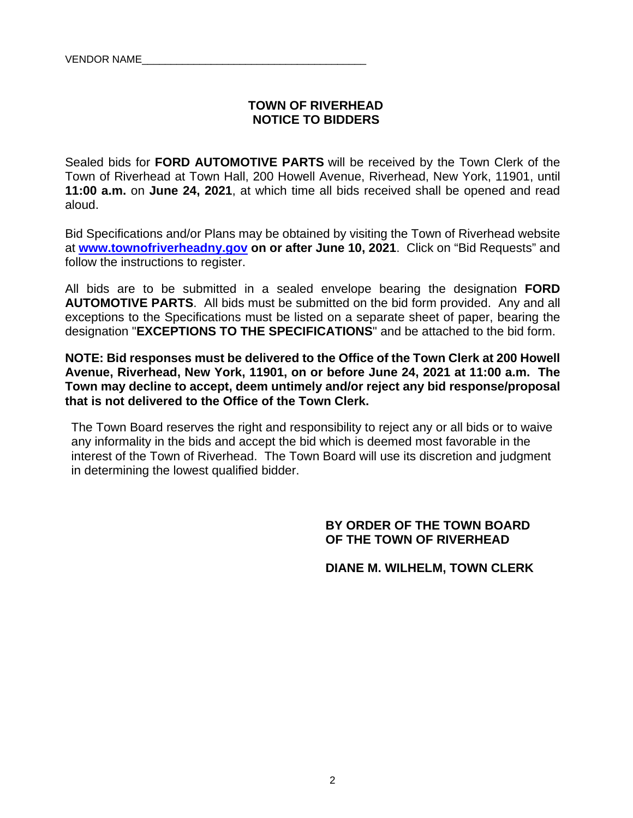#### **TOWN OF RIVERHEAD NOTICE TO BIDDERS**

Sealed bids for **FORD AUTOMOTIVE PARTS** will be received by the Town Clerk of the Town of Riverhead at Town Hall, 200 Howell Avenue, Riverhead, New York, 11901, until **11:00 a.m.** on **June 24, 2021**, at which time all bids received shall be opened and read aloud.

Bid Specifications and/or Plans may be obtained by visiting the Town of Riverhead website at **www.townofriverheadny.gov on or after June 10, 2021**. Click on "Bid Requests" and follow the instructions to register.

All bids are to be submitted in a sealed envelope bearing the designation **FORD AUTOMOTIVE PARTS**. All bids must be submitted on the bid form provided. Any and all exceptions to the Specifications must be listed on a separate sheet of paper, bearing the designation "**EXCEPTIONS TO THE SPECIFICATIONS**" and be attached to the bid form.

**NOTE: Bid responses must be delivered to the Office of the Town Clerk at 200 Howell Avenue, Riverhead, New York, 11901, on or before June 24, 2021 at 11:00 a.m. The Town may decline to accept, deem untimely and/or reject any bid response/proposal that is not delivered to the Office of the Town Clerk.**

The Town Board reserves the right and responsibility to reject any or all bids or to waive any informality in the bids and accept the bid which is deemed most favorable in the interest of the Town of Riverhead. The Town Board will use its discretion and judgment in determining the lowest qualified bidder.

#### **BY ORDER OF THE TOWN BOARD OF THE TOWN OF RIVERHEAD**

 **DIANE M. WILHELM, TOWN CLERK**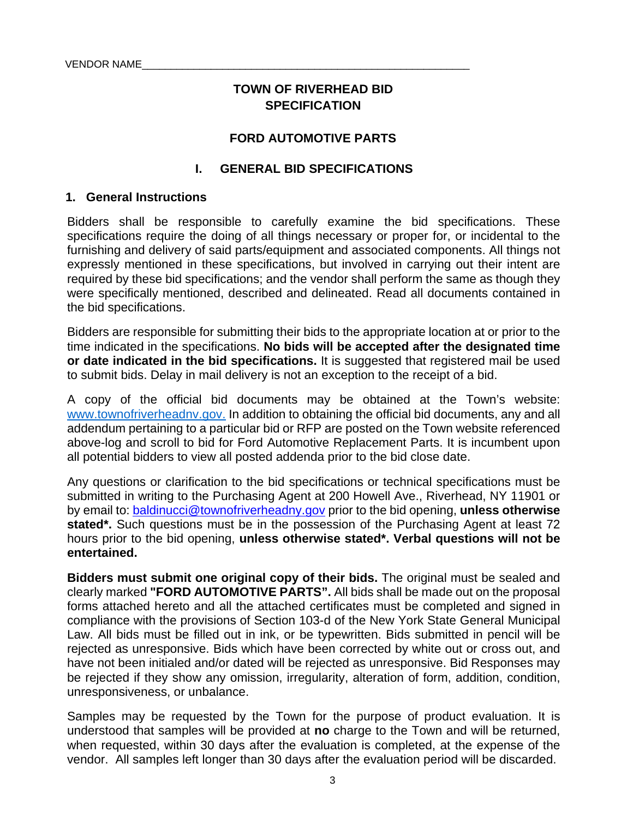## **TOWN OF RIVERHEAD BID SPECIFICATION**

#### **FORD AUTOMOTIVE PARTS**

#### **I. GENERAL BID SPECIFICATIONS**

#### **1. General Instructions**

Bidders shall be responsible to carefully examine the bid specifications. These specifications require the doing of all things necessary or proper for, or incidental to the furnishing and delivery of said parts/equipment and associated components. All things not expressly mentioned in these specifications, but involved in carrying out their intent are required by these bid specifications; and the vendor shall perform the same as though they were specifically mentioned, described and delineated. Read all documents contained in the bid specifications.

Bidders are responsible for submitting their bids to the appropriate location at or prior to the time indicated in the specifications. **No bids will be accepted after the designated time or date indicated in the bid specifications.** It is suggested that registered mail be used to submit bids. Delay in mail delivery is not an exception to the receipt of a bid.

A copy of the official bid documents may be obtained at the Town's website: www.townofriverheadnv.gov. In addition to obtaining the official bid documents, any and all addendum pertaining to a particular bid or RFP are posted on the Town website referenced above-log and scroll to bid for Ford Automotive Replacement Parts. It is incumbent upon all potential bidders to view all posted addenda prior to the bid close date.

Any questions or clarification to the bid specifications or technical specifications must be submitted in writing to the Purchasing Agent at 200 Howell Ave., Riverhead, NY 11901 or by email to: baldinucci@townofriverheadny.gov prior to the bid opening, **unless otherwise**  stated<sup>\*</sup>. Such questions must be in the possession of the Purchasing Agent at least 72 hours prior to the bid opening, **unless otherwise stated\*. Verbal questions will not be entertained.** 

**Bidders must submit one original copy of their bids.** The original must be sealed and clearly marked **"FORD AUTOMOTIVE PARTS".** All bids shall be made out on the proposal forms attached hereto and all the attached certificates must be completed and signed in compliance with the provisions of Section 103-d of the New York State General Municipal Law. All bids must be filled out in ink, or be typewritten. Bids submitted in pencil will be rejected as unresponsive. Bids which have been corrected by white out or cross out, and have not been initialed and/or dated will be rejected as unresponsive. Bid Responses may be rejected if they show any omission, irregularity, alteration of form, addition, condition, unresponsiveness, or unbalance.

Samples may be requested by the Town for the purpose of product evaluation. It is understood that samples will be provided at **no** charge to the Town and will be returned, when requested, within 30 days after the evaluation is completed, at the expense of the vendor. All samples left longer than 30 days after the evaluation period will be discarded.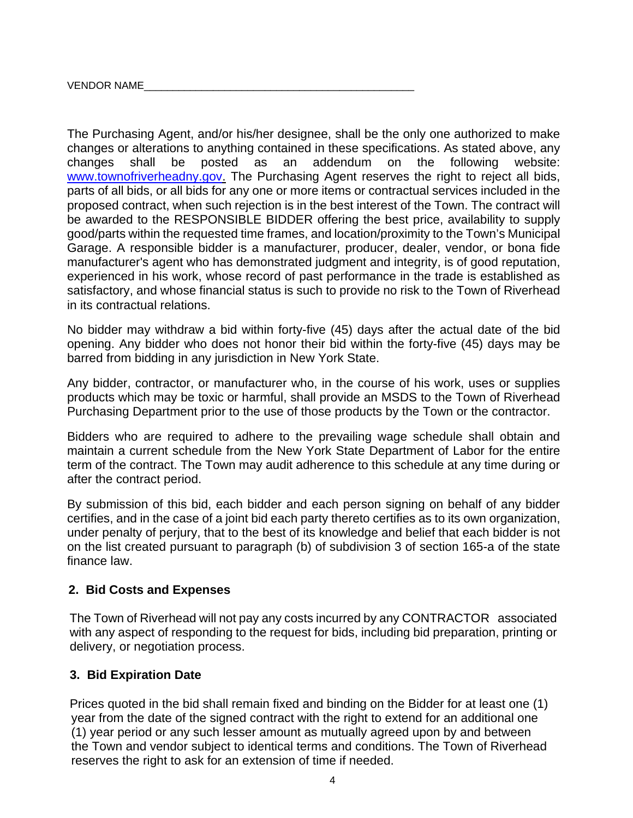The Purchasing Agent, and/or his/her designee, shall be the only one authorized to make changes or alterations to anything contained in these specifications. As stated above, any changes shall be posted as an addendum on the following website: www.townofriverheadny.gov. The Purchasing Agent reserves the right to reject all bids, parts of all bids, or all bids for any one or more items or contractual services included in the proposed contract, when such rejection is in the best interest of the Town. The contract will be awarded to the RESPONSIBLE BIDDER offering the best price, availability to supply good/parts within the requested time frames, and location/proximity to the Town's Municipal Garage. A responsible bidder is a manufacturer, producer, dealer, vendor, or bona fide manufacturer's agent who has demonstrated judgment and integrity, is of good reputation, experienced in his work, whose record of past performance in the trade is established as satisfactory, and whose financial status is such to provide no risk to the Town of Riverhead in its contractual relations.

No bidder may withdraw a bid within forty-five (45) days after the actual date of the bid opening. Any bidder who does not honor their bid within the forty-five (45) days may be barred from bidding in any jurisdiction in New York State.

Any bidder, contractor, or manufacturer who, in the course of his work, uses or supplies products which may be toxic or harmful, shall provide an MSDS to the Town of Riverhead Purchasing Department prior to the use of those products by the Town or the contractor.

Bidders who are required to adhere to the prevailing wage schedule shall obtain and maintain a current schedule from the New York State Department of Labor for the entire term of the contract. The Town may audit adherence to this schedule at any time during or after the contract period.

By submission of this bid, each bidder and each person signing on behalf of any bidder certifies, and in the case of a joint bid each party thereto certifies as to its own organization, under penalty of perjury, that to the best of its knowledge and belief that each bidder is not on the list created pursuant to paragraph (b) of subdivision 3 of section 165-a of the state finance law.

#### **2. Bid Costs and Expenses**

 The Town of Riverhead will not pay any costs incurred by any CONTRACTOR associated with any aspect of responding to the request for bids, including bid preparation, printing or delivery, or negotiation process.

#### **3. Bid Expiration Date**

Prices quoted in the bid shall remain fixed and binding on the Bidder for at least one (1) year from the date of the signed contract with the right to extend for an additional one (1) year period or any such lesser amount as mutually agreed upon by and between the Town and vendor subject to identical terms and conditions. The Town of Riverhead reserves the right to ask for an extension of time if needed.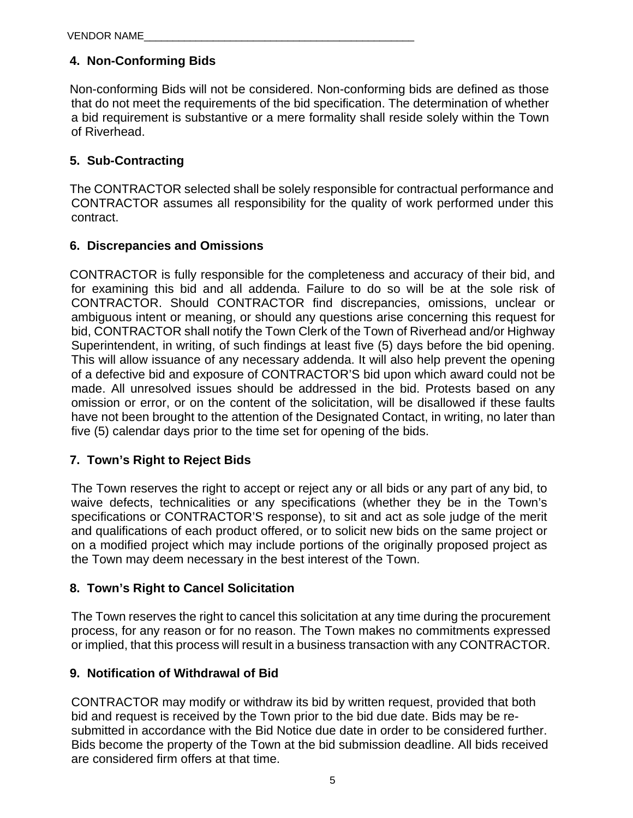## **4. Non-Conforming Bids**

Non-conforming Bids will not be considered. Non-conforming bids are defined as those that do not meet the requirements of the bid specification. The determination of whether a bid requirement is substantive or a mere formality shall reside solely within the Town of Riverhead.

## **5. Sub-Contracting**

The CONTRACTOR selected shall be solely responsible for contractual performance and CONTRACTOR assumes all responsibility for the quality of work performed under this contract.

## **6. Discrepancies and Omissions**

CONTRACTOR is fully responsible for the completeness and accuracy of their bid, and for examining this bid and all addenda. Failure to do so will be at the sole risk of CONTRACTOR. Should CONTRACTOR find discrepancies, omissions, unclear or ambiguous intent or meaning, or should any questions arise concerning this request for bid, CONTRACTOR shall notify the Town Clerk of the Town of Riverhead and/or Highway Superintendent, in writing, of such findings at least five (5) days before the bid opening. This will allow issuance of any necessary addenda. It will also help prevent the opening of a defective bid and exposure of CONTRACTOR'S bid upon which award could not be made. All unresolved issues should be addressed in the bid. Protests based on any omission or error, or on the content of the solicitation, will be disallowed if these faults have not been brought to the attention of the Designated Contact, in writing, no later than five (5) calendar days prior to the time set for opening of the bids.

## **7. Town's Right to Reject Bids**

The Town reserves the right to accept or reject any or all bids or any part of any bid, to waive defects, technicalities or any specifications (whether they be in the Town's specifications or CONTRACTOR'S response), to sit and act as sole judge of the merit and qualifications of each product offered, or to solicit new bids on the same project or on a modified project which may include portions of the originally proposed project as the Town may deem necessary in the best interest of the Town.

## **8. Town's Right to Cancel Solicitation**

The Town reserves the right to cancel this solicitation at any time during the procurement process, for any reason or for no reason. The Town makes no commitments expressed or implied, that this process will result in a business transaction with any CONTRACTOR.

## **9. Notification of Withdrawal of Bid**

CONTRACTOR may modify or withdraw its bid by written request, provided that both bid and request is received by the Town prior to the bid due date. Bids may be resubmitted in accordance with the Bid Notice due date in order to be considered further. Bids become the property of the Town at the bid submission deadline. All bids received are considered firm offers at that time.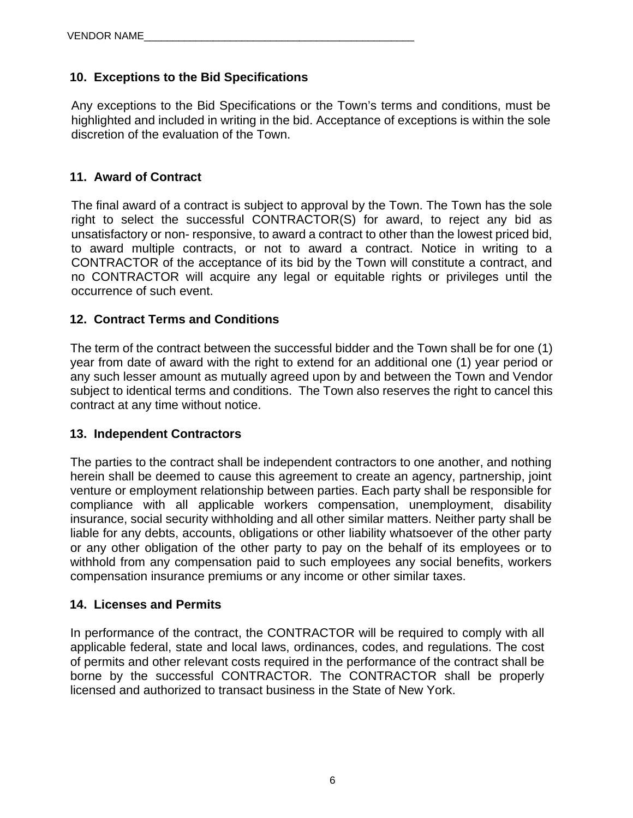## **10. Exceptions to the Bid Specifications**

Any exceptions to the Bid Specifications or the Town's terms and conditions, must be highlighted and included in writing in the bid. Acceptance of exceptions is within the sole discretion of the evaluation of the Town.

## **11. Award of Contract**

The final award of a contract is subject to approval by the Town. The Town has the sole right to select the successful CONTRACTOR(S) for award, to reject any bid as unsatisfactory or non- responsive, to award a contract to other than the lowest priced bid, to award multiple contracts, or not to award a contract. Notice in writing to a CONTRACTOR of the acceptance of its bid by the Town will constitute a contract, and no CONTRACTOR will acquire any legal or equitable rights or privileges until the occurrence of such event.

#### **12. Contract Terms and Conditions**

The term of the contract between the successful bidder and the Town shall be for one (1) year from date of award with the right to extend for an additional one (1) year period or any such lesser amount as mutually agreed upon by and between the Town and Vendor subject to identical terms and conditions. The Town also reserves the right to cancel this contract at any time without notice.

#### **13. Independent Contractors**

The parties to the contract shall be independent contractors to one another, and nothing herein shall be deemed to cause this agreement to create an agency, partnership, joint venture or employment relationship between parties. Each party shall be responsible for compliance with all applicable workers compensation, unemployment, disability insurance, social security withholding and all other similar matters. Neither party shall be liable for any debts, accounts, obligations or other liability whatsoever of the other party or any other obligation of the other party to pay on the behalf of its employees or to withhold from any compensation paid to such employees any social benefits, workers compensation insurance premiums or any income or other similar taxes.

#### **14. Licenses and Permits**

In performance of the contract, the CONTRACTOR will be required to comply with all applicable federal, state and local laws, ordinances, codes, and regulations. The cost of permits and other relevant costs required in the performance of the contract shall be borne by the successful CONTRACTOR. The CONTRACTOR shall be properly licensed and authorized to transact business in the State of New York.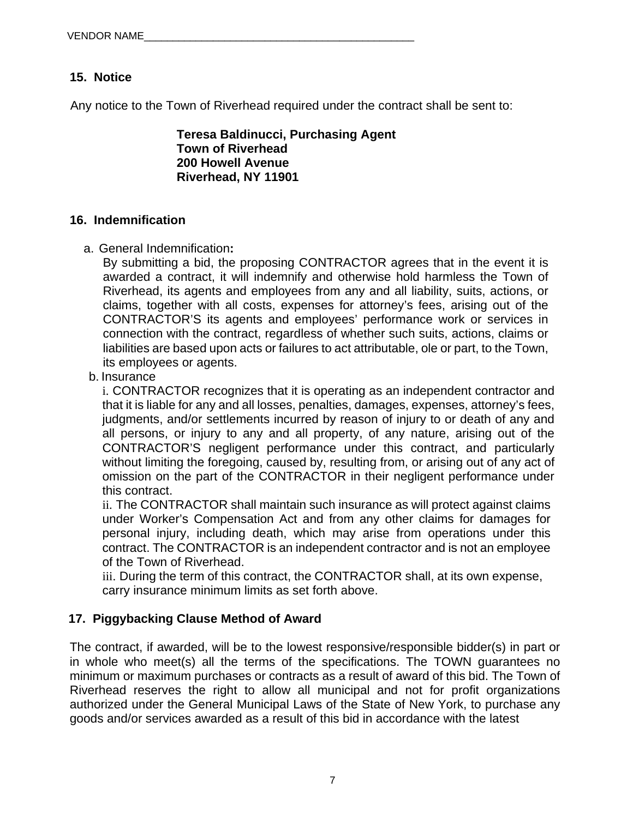## **15. Notice**

Any notice to the Town of Riverhead required under the contract shall be sent to:

**Teresa Baldinucci, Purchasing Agent Town of Riverhead 200 Howell Avenue Riverhead, NY 11901** 

#### **16. Indemnification**

a. General Indemnification**:**

By submitting a bid, the proposing CONTRACTOR agrees that in the event it is awarded a contract, it will indemnify and otherwise hold harmless the Town of Riverhead, its agents and employees from any and all liability, suits, actions, or claims, together with all costs, expenses for attorney's fees, arising out of the CONTRACTOR'S its agents and employees' performance work or services in connection with the contract, regardless of whether such suits, actions, claims or liabilities are based upon acts or failures to act attributable, ole or part, to the Town, its employees or agents.

b. Insurance

i. CONTRACTOR recognizes that it is operating as an independent contractor and that it is liable for any and all losses, penalties, damages, expenses, attorney's fees, judgments, and/or settlements incurred by reason of injury to or death of any and all persons, or injury to any and all property, of any nature, arising out of the CONTRACTOR'S negligent performance under this contract, and particularly without limiting the foregoing, caused by, resulting from, or arising out of any act of omission on the part of the CONTRACTOR in their negligent performance under this contract.

ii. The CONTRACTOR shall maintain such insurance as will protect against claims under Worker's Compensation Act and from any other claims for damages for personal injury, including death, which may arise from operations under this contract. The CONTRACTOR is an independent contractor and is not an employee of the Town of Riverhead.

iii. During the term of this contract, the CONTRACTOR shall, at its own expense, carry insurance minimum limits as set forth above.

## **17. Piggybacking Clause Method of Award**

The contract, if awarded, will be to the lowest responsive/responsible bidder(s) in part or in whole who meet(s) all the terms of the specifications. The TOWN guarantees no minimum or maximum purchases or contracts as a result of award of this bid. The Town of Riverhead reserves the right to allow all municipal and not for profit organizations authorized under the General Municipal Laws of the State of New York, to purchase any goods and/or services awarded as a result of this bid in accordance with the latest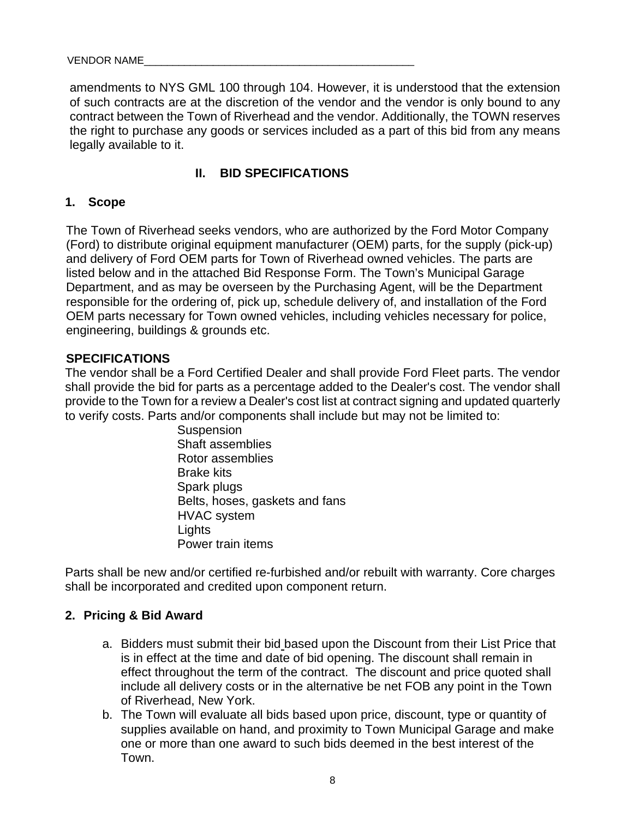amendments to NYS GML 100 through 104. However, it is understood that the extension of such contracts are at the discretion of the vendor and the vendor is only bound to any contract between the Town of Riverhead and the vendor. Additionally, the TOWN reserves the right to purchase any goods or services included as a part of this bid from any means legally available to it.

## **II. BID SPECIFICATIONS**

#### **1. Scope**

The Town of Riverhead seeks vendors, who are authorized by the Ford Motor Company (Ford) to distribute original equipment manufacturer (OEM) parts, for the supply (pick-up) and delivery of Ford OEM parts for Town of Riverhead owned vehicles. The parts are listed below and in the attached Bid Response Form. The Town's Municipal Garage Department, and as may be overseen by the Purchasing Agent, will be the Department responsible for the ordering of, pick up, schedule delivery of, and installation of the Ford OEM parts necessary for Town owned vehicles, including vehicles necessary for police, engineering, buildings & grounds etc.

#### **SPECIFICATIONS**

The vendor shall be a Ford Certified Dealer and shall provide Ford Fleet parts. The vendor shall provide the bid for parts as a percentage added to the Dealer's cost. The vendor shall provide to the Town for a review a Dealer's cost list at contract signing and updated quarterly to verify costs. Parts and/or components shall include but may not be limited to:

> **Suspension** Shaft assemblies Rotor assemblies Brake kits Spark plugs Belts, hoses, gaskets and fans HVAC system **Lights** Power train items

Parts shall be new and/or certified re-furbished and/or rebuilt with warranty. Core charges shall be incorporated and credited upon component return.

#### **2. Pricing & Bid Award**

- a. Bidders must submit their bid based upon the Discount from their List Price that is in effect at the time and date of bid opening. The discount shall remain in effect throughout the term of the contract. The discount and price quoted shall include all delivery costs or in the alternative be net FOB any point in the Town of Riverhead, New York.
- b. The Town will evaluate all bids based upon price, discount, type or quantity of supplies available on hand, and proximity to Town Municipal Garage and make one or more than one award to such bids deemed in the best interest of the Town.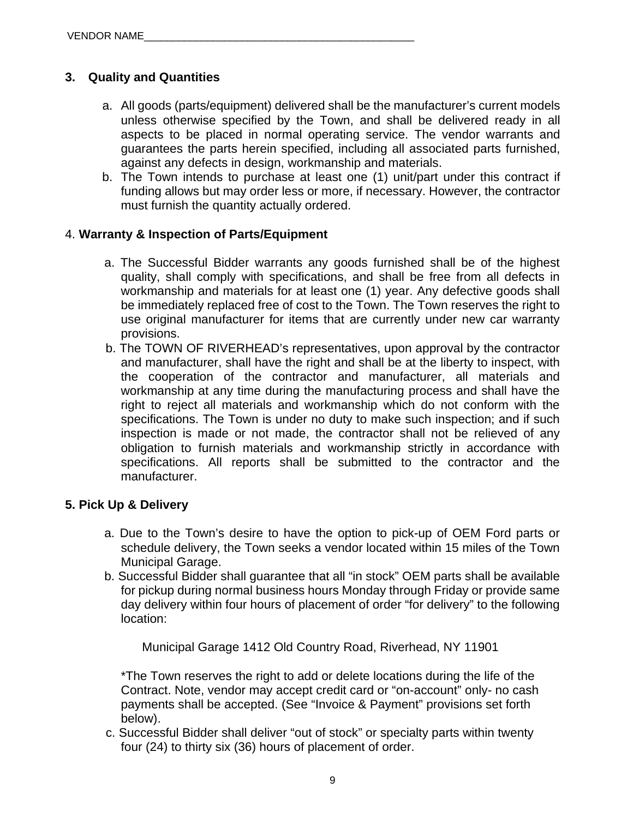## **3. Quality and Quantities**

- a. All goods (parts/equipment) delivered shall be the manufacturer's current models unless otherwise specified by the Town, and shall be delivered ready in all aspects to be placed in normal operating service. The vendor warrants and guarantees the parts herein specified, including all associated parts furnished, against any defects in design, workmanship and materials.
- b. The Town intends to purchase at least one (1) unit/part under this contract if funding allows but may order less or more, if necessary. However, the contractor must furnish the quantity actually ordered.

#### 4. **Warranty & Inspection of Parts/Equipment**

- a. The Successful Bidder warrants any goods furnished shall be of the highest quality, shall comply with specifications, and shall be free from all defects in workmanship and materials for at least one (1) year. Any defective goods shall be immediately replaced free of cost to the Town. The Town reserves the right to use original manufacturer for items that are currently under new car warranty provisions.
- b. The TOWN OF RIVERHEAD's representatives, upon approval by the contractor and manufacturer, shall have the right and shall be at the liberty to inspect, with the cooperation of the contractor and manufacturer, all materials and workmanship at any time during the manufacturing process and shall have the right to reject all materials and workmanship which do not conform with the specifications. The Town is under no duty to make such inspection; and if such inspection is made or not made, the contractor shall not be relieved of any obligation to furnish materials and workmanship strictly in accordance with specifications. All reports shall be submitted to the contractor and the manufacturer.

#### **5. Pick Up & Delivery**

- a. Due to the Town's desire to have the option to pick-up of OEM Ford parts or schedule delivery, the Town seeks a vendor located within 15 miles of the Town Municipal Garage.
- b. Successful Bidder shall guarantee that all "in stock" OEM parts shall be available for pickup during normal business hours Monday through Friday or provide same day delivery within four hours of placement of order "for delivery" to the following location:

Municipal Garage 1412 Old Country Road, Riverhead, NY 11901

\*The Town reserves the right to add or delete locations during the life of the Contract. Note, vendor may accept credit card or "on-account" only- no cash payments shall be accepted. (See "Invoice & Payment" provisions set forth below).

 c. Successful Bidder shall deliver "out of stock" or specialty parts within twenty four (24) to thirty six (36) hours of placement of order.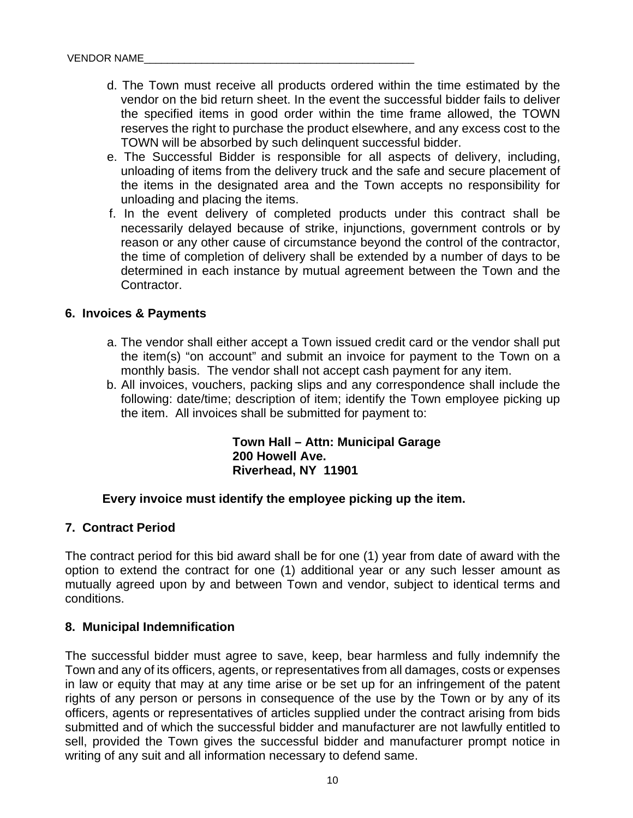- d. The Town must receive all products ordered within the time estimated by the vendor on the bid return sheet. In the event the successful bidder fails to deliver the specified items in good order within the time frame allowed, the TOWN reserves the right to purchase the product elsewhere, and any excess cost to the TOWN will be absorbed by such delinquent successful bidder.
- e. The Successful Bidder is responsible for all aspects of delivery, including, unloading of items from the delivery truck and the safe and secure placement of the items in the designated area and the Town accepts no responsibility for unloading and placing the items.
- f. In the event delivery of completed products under this contract shall be necessarily delayed because of strike, injunctions, government controls or by reason or any other cause of circumstance beyond the control of the contractor, the time of completion of delivery shall be extended by a number of days to be determined in each instance by mutual agreement between the Town and the Contractor.

#### **6. Invoices & Payments**

- a. The vendor shall either accept a Town issued credit card or the vendor shall put the item(s) "on account" and submit an invoice for payment to the Town on a monthly basis. The vendor shall not accept cash payment for any item.
- b. All invoices, vouchers, packing slips and any correspondence shall include the following: date/time; description of item; identify the Town employee picking up the item. All invoices shall be submitted for payment to:

**Town Hall – Attn: Municipal Garage 200 Howell Ave. Riverhead, NY 11901** 

#### **Every invoice must identify the employee picking up the item.**

#### **7. Contract Period**

The contract period for this bid award shall be for one (1) year from date of award with the option to extend the contract for one (1) additional year or any such lesser amount as mutually agreed upon by and between Town and vendor, subject to identical terms and conditions.

#### **8. Municipal Indemnification**

The successful bidder must agree to save, keep, bear harmless and fully indemnify the Town and any of its officers, agents, or representatives from all damages, costs or expenses in law or equity that may at any time arise or be set up for an infringement of the patent rights of any person or persons in consequence of the use by the Town or by any of its officers, agents or representatives of articles supplied under the contract arising from bids submitted and of which the successful bidder and manufacturer are not lawfully entitled to sell, provided the Town gives the successful bidder and manufacturer prompt notice in writing of any suit and all information necessary to defend same.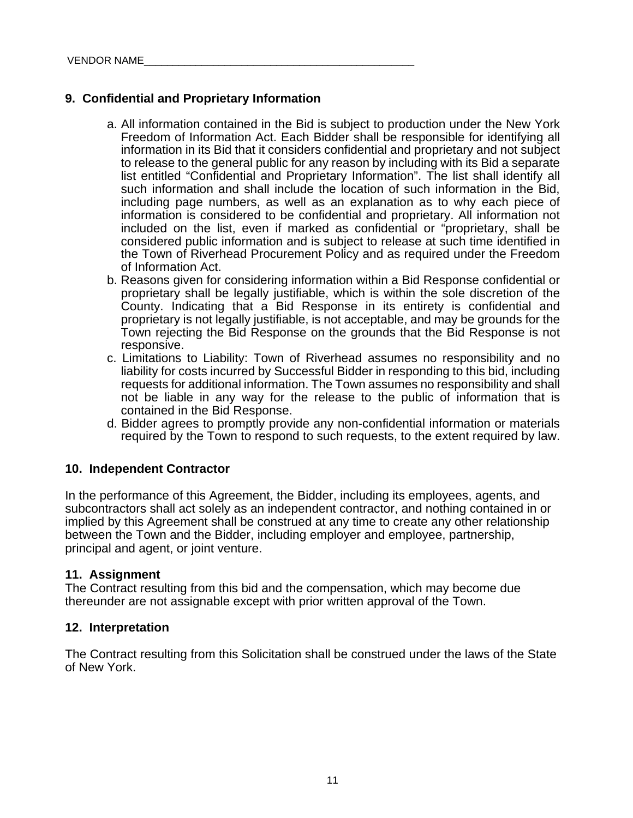#### **9. Confidential and Proprietary Information**

- a. All information contained in the Bid is subject to production under the New York Freedom of Information Act. Each Bidder shall be responsible for identifying all information in its Bid that it considers confidential and proprietary and not subject to release to the general public for any reason by including with its Bid a separate list entitled "Confidential and Proprietary Information". The list shall identify all such information and shall include the location of such information in the Bid, including page numbers, as well as an explanation as to why each piece of information is considered to be confidential and proprietary. All information not included on the list, even if marked as confidential or "proprietary, shall be considered public information and is subject to release at such time identified in the Town of Riverhead Procurement Policy and as required under the Freedom of Information Act.
- b. Reasons given for considering information within a Bid Response confidential or proprietary shall be legally justifiable, which is within the sole discretion of the County. Indicating that a Bid Response in its entirety is confidential and proprietary is not legally justifiable, is not acceptable, and may be grounds for the Town rejecting the Bid Response on the grounds that the Bid Response is not responsive.
- c. Limitations to Liability: Town of Riverhead assumes no responsibility and no liability for costs incurred by Successful Bidder in responding to this bid, including requests for additional information. The Town assumes no responsibility and shall not be liable in any way for the release to the public of information that is contained in the Bid Response.
- d. Bidder agrees to promptly provide any non-confidential information or materials required by the Town to respond to such requests, to the extent required by law.

#### **10. Independent Contractor**

In the performance of this Agreement, the Bidder, including its employees, agents, and subcontractors shall act solely as an independent contractor, and nothing contained in or implied by this Agreement shall be construed at any time to create any other relationship between the Town and the Bidder, including employer and employee, partnership, principal and agent, or joint venture.

#### **11. Assignment**

The Contract resulting from this bid and the compensation, which may become due thereunder are not assignable except with prior written approval of the Town.

#### **12. Interpretation**

The Contract resulting from this Solicitation shall be construed under the laws of the State of New York.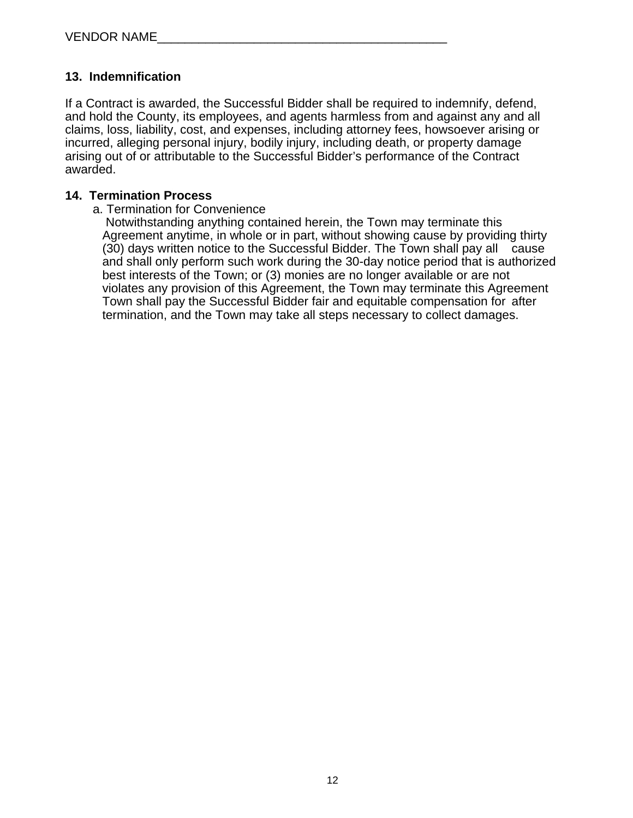#### **13. Indemnification**

If a Contract is awarded, the Successful Bidder shall be required to indemnify, defend, and hold the County, its employees, and agents harmless from and against any and all claims, loss, liability, cost, and expenses, including attorney fees, howsoever arising or incurred, alleging personal injury, bodily injury, including death, or property damage arising out of or attributable to the Successful Bidder's performance of the Contract awarded.

#### **14. Termination Process**

#### a. Termination for Convenience

 Notwithstanding anything contained herein, the Town may terminate this Agreement anytime, in whole or in part, without showing cause by providing thirty (30) days written notice to the Successful Bidder. The Town shall pay all cause and shall only perform such work during the 30-day notice period that is authorized best interests of the Town; or (3) monies are no longer available or are not violates any provision of this Agreement, the Town may terminate this Agreement Town shall pay the Successful Bidder fair and equitable compensation for after termination, and the Town may take all steps necessary to collect damages.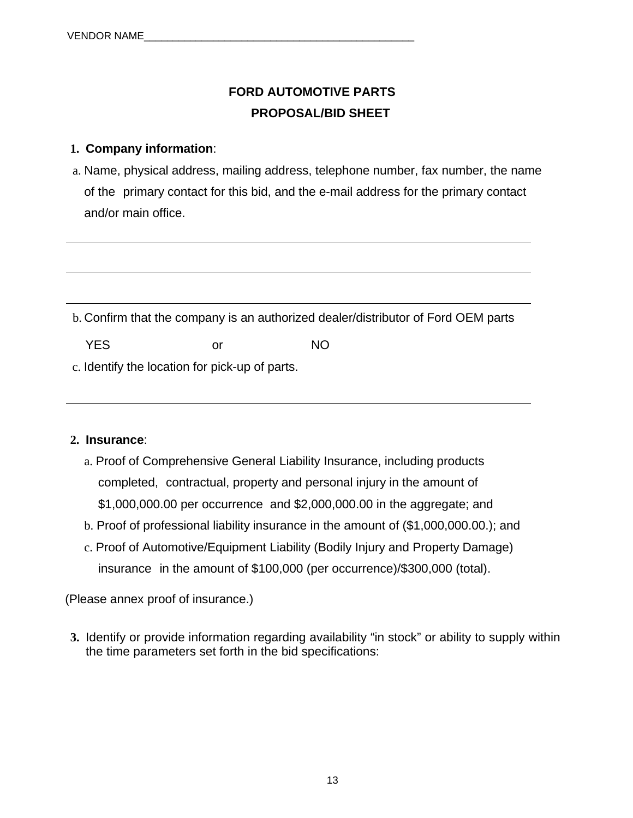## **FORD AUTOMOTIVE PARTS PROPOSAL/BID SHEET**

## **1. Company information**:

a. Name, physical address, mailing address, telephone number, fax number, the name of the primary contact for this bid, and the e-mail address for the primary contact and/or main office.

b. Confirm that the company is an authorized dealer/distributor of Ford OEM parts

YES or NO

c. Identify the location for pick-up of parts.

#### **2. Insurance**:

- a. Proof of Comprehensive General Liability Insurance, including products completed, contractual, property and personal injury in the amount of \$1,000,000.00 per occurrence and \$2,000,000.00 in the aggregate; and
- b. Proof of professional liability insurance in the amount of (\$1,000,000.00.); and
- c. Proof of Automotive/Equipment Liability (Bodily Injury and Property Damage) insurance in the amount of \$100,000 (per occurrence)/\$300,000 (total).

(Please annex proof of insurance.)

**3.** Identify or provide information regarding availability "in stock" or ability to supply within the time parameters set forth in the bid specifications: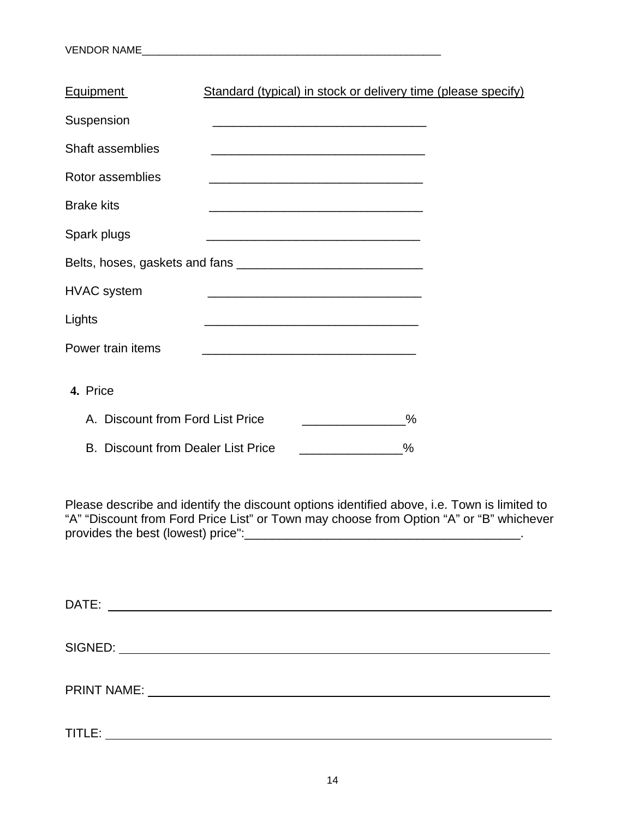| <b>Equipment</b>                          | Standard (typical) in stock or delivery time (please specify)     |      |
|-------------------------------------------|-------------------------------------------------------------------|------|
| Suspension                                |                                                                   |      |
| <b>Shaft assemblies</b>                   |                                                                   |      |
| Rotor assemblies                          | <u> 1980 - Johann John Stone, mars eta biztanleria (h. 1980).</u> |      |
| <b>Brake kits</b>                         |                                                                   |      |
| Spark plugs                               |                                                                   |      |
|                                           |                                                                   |      |
| <b>HVAC</b> system                        | <u> 1989 - Johann John Stone, mars et al. (</u>                   |      |
| Lights                                    |                                                                   |      |
| Power train items                         |                                                                   |      |
| 4. Price                                  |                                                                   |      |
| A. Discount from Ford List Price          |                                                                   | $\%$ |
| <b>B. Discount from Dealer List Price</b> |                                                                   | $\%$ |

Please describe and identify the discount options identified above, i.e. Town is limited to "A" "Discount from Ford Price List" or Town may choose from Option "A" or "B" whichever provides the best (lowest) price":\_\_\_\_\_\_\_\_\_\_\_\_\_\_\_\_\_\_\_\_\_\_\_\_\_\_\_\_\_\_\_\_\_\_\_\_\_\_\_\_.

DATE: SIGNED: PRINT NAME: We have a state of the state of the state of the state of the state of the state of the state of the state of the state of the state of the state of the state of the state of the state of the state of the state TITLE: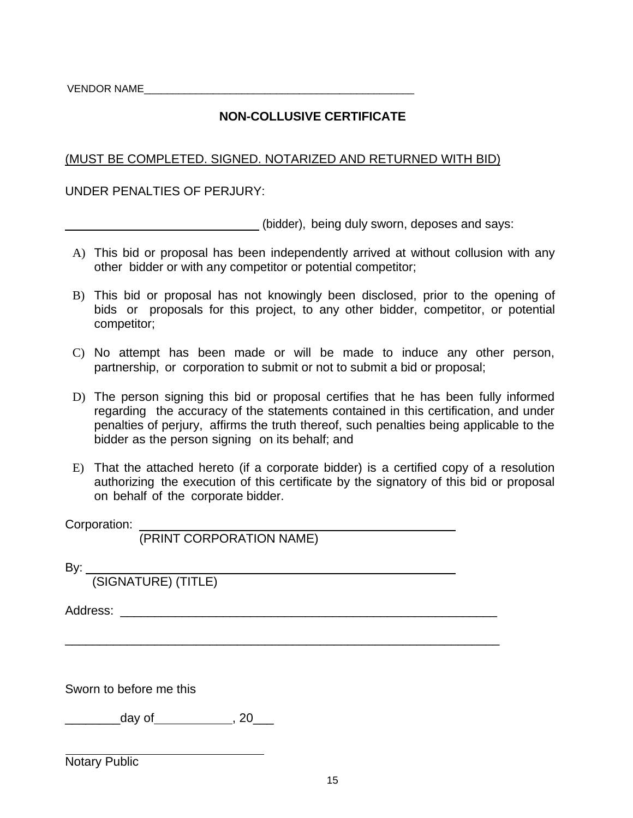VENDOR NAME

## **NON-COLLUSIVE CERTIFICATE**

#### (MUST BE COMPLETED. SIGNED. NOTARIZED AND RETURNED WITH BID)

#### UNDER PENALTIES OF PERJURY:

(bidder), being duly sworn, deposes and says:

- A) This bid or proposal has been independently arrived at without collusion with any other bidder or with any competitor or potential competitor;
- B) This bid or proposal has not knowingly been disclosed, prior to the opening of bids or proposals for this project, to any other bidder, competitor, or potential competitor;
- C) No attempt has been made or will be made to induce any other person, partnership, or corporation to submit or not to submit a bid or proposal;
- D) The person signing this bid or proposal certifies that he has been fully informed regarding the accuracy of the statements contained in this certification, and under penalties of perjury, affirms the truth thereof, such penalties being applicable to the bidder as the person signing on its behalf; and
- E) That the attached hereto (if a corporate bidder) is a certified copy of a resolution authorizing the execution of this certificate by the signatory of this bid or proposal on behalf of the corporate bidder.

\_\_\_\_\_\_\_\_\_\_\_\_\_\_\_\_\_\_\_\_\_\_\_\_\_\_\_\_\_\_\_\_\_\_\_\_\_\_\_\_\_\_\_\_\_\_\_\_\_\_\_\_\_\_\_\_\_\_\_\_\_\_\_

Corporation:

(PRINT CORPORATION NAME)

By:

(SIGNATURE) (TITLE)

Address: \_\_\_\_\_\_\_\_\_\_\_\_\_\_\_\_\_\_\_\_\_\_\_\_\_\_\_\_\_\_\_\_\_\_\_\_\_\_\_\_\_\_\_\_\_\_\_\_\_\_\_\_\_\_\_

Sworn to before me this

 $\qquad \qquad$  day of  $\qquad \qquad$  , 20

Notary Public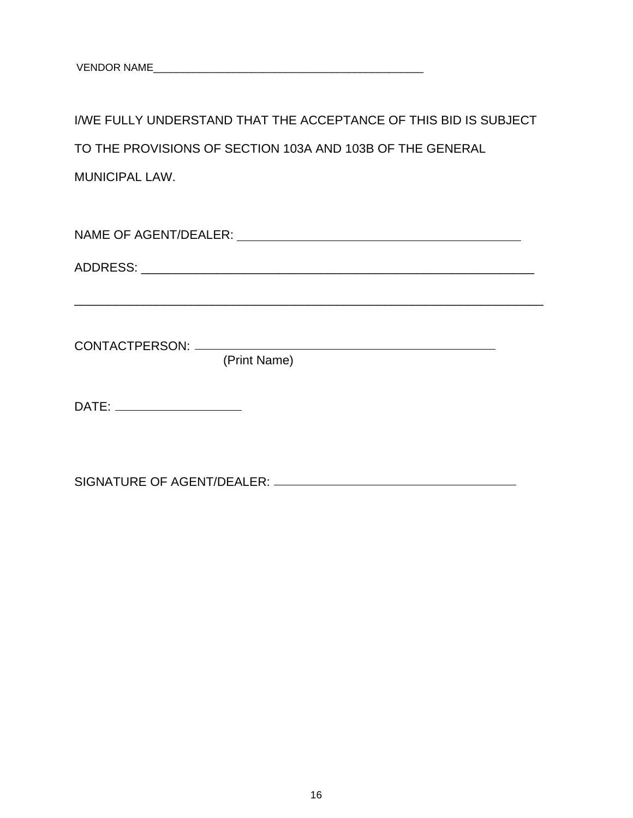I/WE FULLY UNDERSTAND THAT THE ACCEPTANCE OF THIS BID IS SUBJECT TO THE PROVISIONS OF SECTION 103A AND 103B OF THE GENERAL MUNICIPAL LAW.

NAME OF AGENT/DEALER:

\_\_\_\_\_\_\_\_\_\_\_\_\_\_\_\_\_\_\_\_\_\_\_\_\_\_\_\_\_\_\_\_\_\_\_\_\_\_\_\_\_\_\_\_\_\_\_\_\_\_\_\_\_\_\_\_\_\_\_\_\_\_\_\_\_\_\_\_

ADDRESS: \_\_\_\_\_\_\_\_\_\_\_\_\_\_\_\_\_\_\_\_\_\_\_\_\_\_\_\_\_\_\_\_\_\_\_\_\_\_\_\_\_\_\_\_\_\_\_\_\_\_\_\_\_\_\_\_\_

CONTACTPERSON: <u> 1989 - Johann Barn, mars ann an t-</u>

(Print Name)

DATE:

SIGNATURE OF AGENT/DEALER: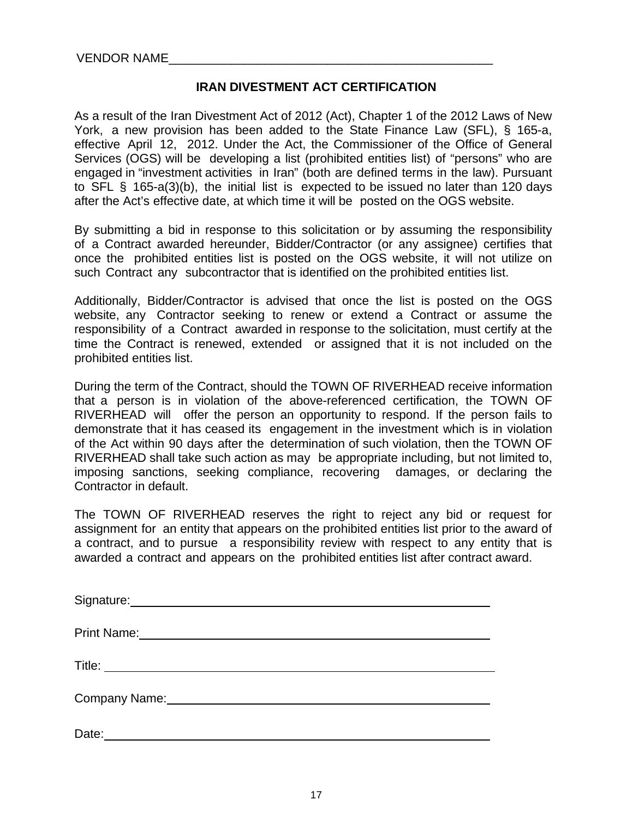#### **IRAN DIVESTMENT ACT CERTIFICATION**

As a result of the Iran Divestment Act of 2012 (Act), Chapter 1 of the 2012 Laws of New York, a new provision has been added to the State Finance Law (SFL), § 165-a, effective April 12, 2012. Under the Act, the Commissioner of the Office of General Services (OGS) will be developing a list (prohibited entities list) of "persons" who are engaged in "investment activities in Iran" (both are defined terms in the law). Pursuant to SFL § 165-a(3)(b), the initial list is expected to be issued no later than 120 days after the Act's effective date, at which time it will be posted on the OGS website.

By submitting a bid in response to this solicitation or by assuming the responsibility of a Contract awarded hereunder, Bidder/Contractor (or any assignee) certifies that once the prohibited entities list is posted on the OGS website, it will not utilize on such Contract any subcontractor that is identified on the prohibited entities list.

Additionally, Bidder/Contractor is advised that once the list is posted on the OGS website, any Contractor seeking to renew or extend a Contract or assume the responsibility of a Contract awarded in response to the solicitation, must certify at the time the Contract is renewed, extended or assigned that it is not included on the prohibited entities list.

During the term of the Contract, should the TOWN OF RIVERHEAD receive information that a person is in violation of the above-referenced certification, the TOWN OF RIVERHEAD will offer the person an opportunity to respond. If the person fails to demonstrate that it has ceased its engagement in the investment which is in violation of the Act within 90 days after the determination of such violation, then the TOWN OF RIVERHEAD shall take such action as may be appropriate including, but not limited to, imposing sanctions, seeking compliance, recovering damages, or declaring the Contractor in default.

The TOWN OF RIVERHEAD reserves the right to reject any bid or request for assignment for an entity that appears on the prohibited entities list prior to the award of a contract, and to pursue a responsibility review with respect to any entity that is awarded a contract and appears on the prohibited entities list after contract award.

| Signature: Management Communication of the Signature:                                                                                                                                                                          |
|--------------------------------------------------------------------------------------------------------------------------------------------------------------------------------------------------------------------------------|
| Print Name: 1988 March 1988 March 1988 March 1988 March 1988 March 1988 March 1988 March 1988 March 1988 March                                                                                                                 |
|                                                                                                                                                                                                                                |
| Company Name: Name: Name and Separate School and Separate School and Separate School and Separate School and Separate School and Separate School and Separate School and Separate School and Separate School and Separate Scho |
| Date:                                                                                                                                                                                                                          |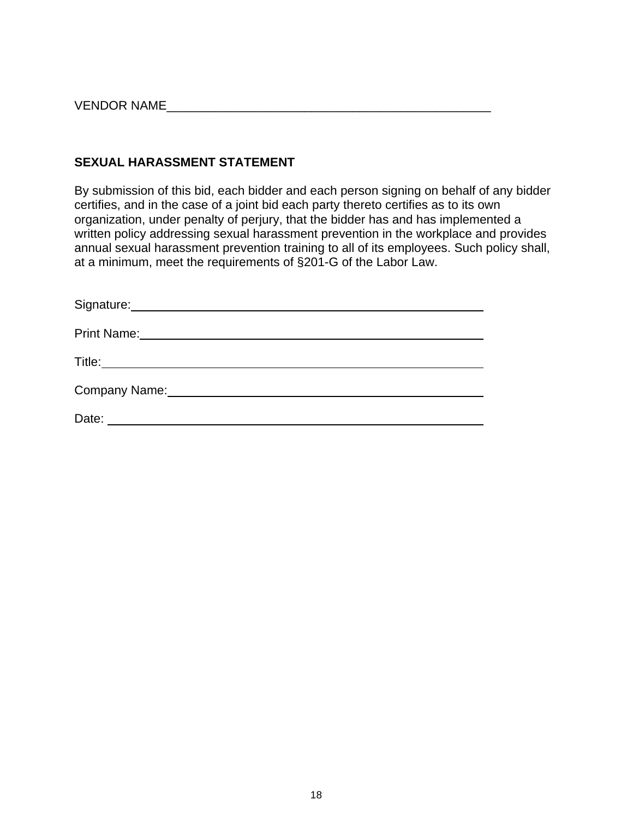VENDOR NAME

#### **SEXUAL HARASSMENT STATEMENT**

By submission of this bid, each bidder and each person signing on behalf of any bidder certifies, and in the case of a joint bid each party thereto certifies as to its own organization, under penalty of perjury, that the bidder has and has implemented a written policy addressing sexual harassment prevention in the workplace and provides annual sexual harassment prevention training to all of its employees. Such policy shall, at a minimum, meet the requirements of §201-G of the Labor Law.

| <b>Print Name:</b> |
|--------------------|
| Title:             |
| Company Name:      |
| Date:              |